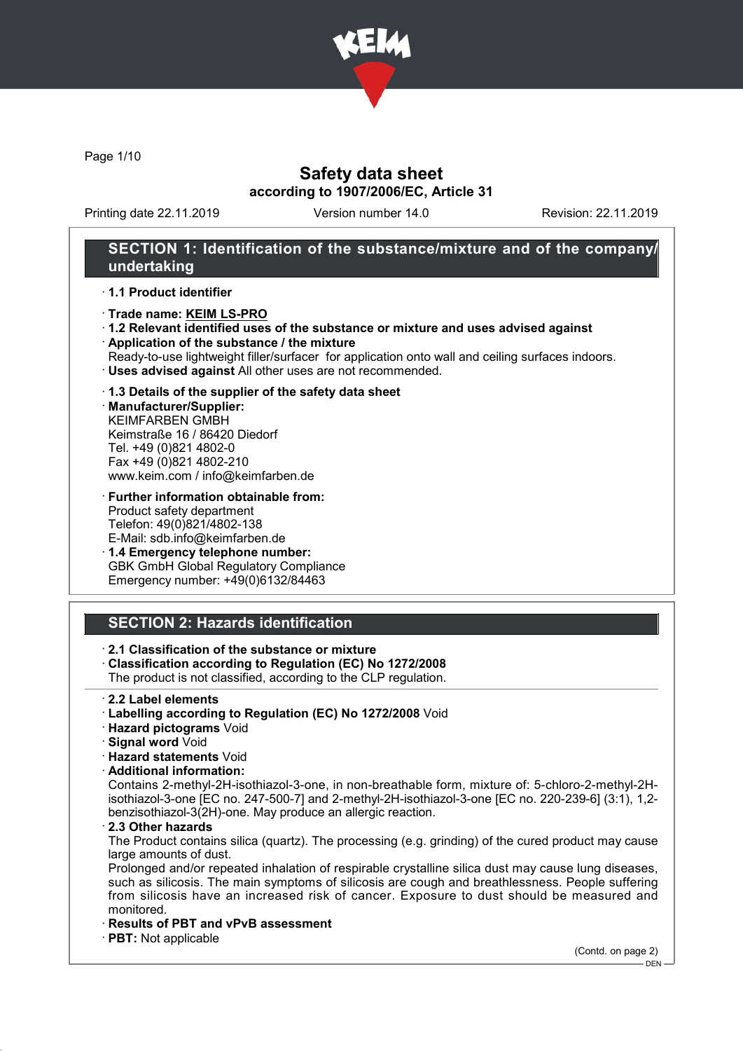

Page 1/10

## Safety data sheet according to 1907/2006/EC, Article 31

Printing date 22.11.2019 Version number 14.0 Revision: 22.11.2019

## SECTION 1: Identification of the substance/mixture and of the company/ undertaking

#### · 1.1 Product identifier

- · Trade name: KEIM LS-PRO
- · 1.2 Relevant identified uses of the substance or mixture and uses advised against
- · Application of the substance / the mixture
- Ready-to-use lightweight filler/surfacer for application onto wall and ceiling surfaces indoors.
- · Uses advised against All other uses are not recommended.

### · 1.3 Details of the supplier of the safety data sheet

· Manufacturer/Supplier: KEIMFARBEN GMBH Keimstraße 16 / 86420 Diedorf Tel. +49 (0)821 4802-0 Fax +49 (0)821 4802-210 www.keim.com / info@keimfarben.de

· Further information obtainable from: Product safety department Telefon: 49(0)821/4802-138 E-Mail: sdb.info@keimfarben.de

· 1.4 Emergency telephone number: GBK GmbH Global Regulatory Compliance Emergency number: +49(0)6132/84463

## SECTION 2: Hazards identification

### · 2.1 Classification of the substance or mixture

· Classification according to Regulation (EC) No 1272/2008

The product is not classified, according to the CLP regulation.

- · 2.2 Label elements
- · Labelling according to Regulation (EC) No 1272/2008 Void
- · Hazard pictograms Void
- · Signal word Void
- · Hazard statements Void
- · Additional information:

Contains 2-methyl-2H-isothiazol-3-one, in non-breathable form, mixture of: 5-chloro-2-methyl-2Hisothiazol-3-one [EC no. 247-500-7] and 2-methyl-2H-isothiazol-3-one [EC no. 220-239-6] (3:1), 1,2 benzisothiazol-3(2H)-one. May produce an allergic reaction.

2.3 Other hazards

The Product contains silica (quartz). The processing (e.g. grinding) of the cured product may cause large amounts of dust.

Prolonged and/or repeated inhalation of respirable crystalline silica dust may cause lung diseases, such as silicosis. The main symptoms of silicosis are cough and breathlessness. People suffering from silicosis have an increased risk of cancer. Exposure to dust should be measured and monitored.

- · Results of PBT and vPvB assessment
- · PBT: Not applicable

(Contd. on page 2)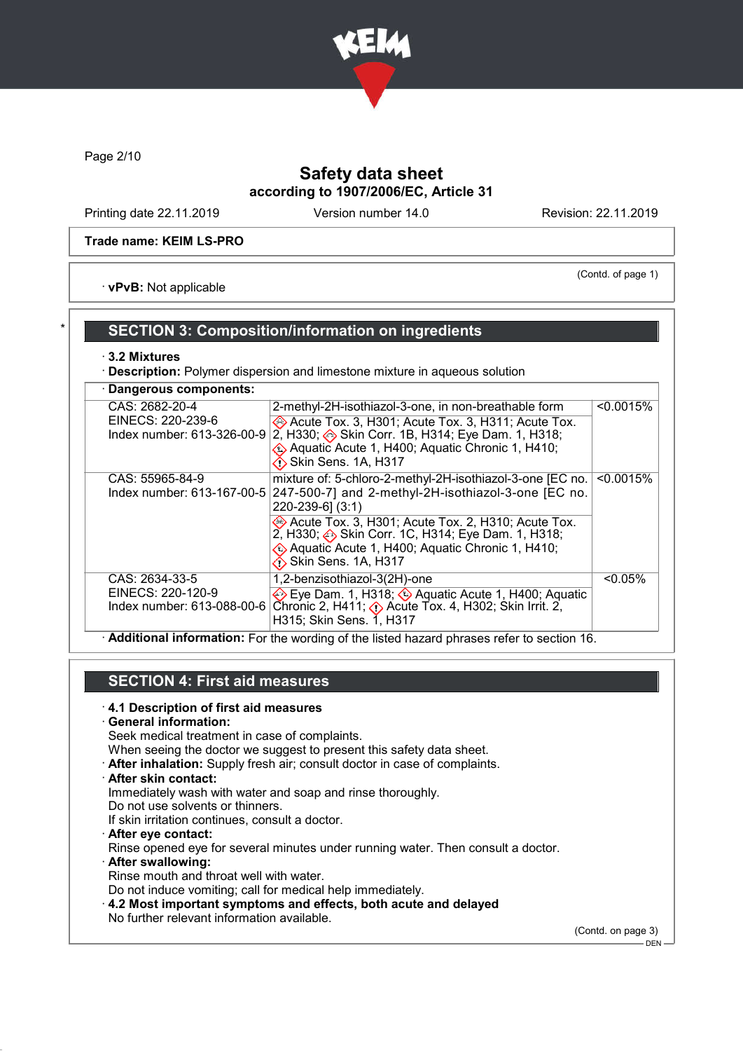

Page 2/10

# Safety data sheet according to 1907/2006/EC, Article 31

Printing date 22.11.2019 Version number 14.0 Revision: 22.11.2019

### Trade name: KEIM LS-PRO

(Contd. of page 1)

· vPvB: Not applicable

## SECTION 3: Composition/information on ingredients

### · 3.2 Mixtures

· Description: Polymer dispersion and limestone mixture in aqueous solution

| Dangerous components:                                             |                                                                                                                                                                                                                                                                                                                                                       |            |  |  |
|-------------------------------------------------------------------|-------------------------------------------------------------------------------------------------------------------------------------------------------------------------------------------------------------------------------------------------------------------------------------------------------------------------------------------------------|------------|--|--|
| CAS: 2682-20-4<br>EINECS: 220-239-6                               | 2-methyl-2H-isothiazol-3-one, in non-breathable form<br>Acute Tox. 3, H301; Acute Tox. 3, H311; Acute Tox.<br>Index number: 613-326-00-9 $ 2$ , H330; $\diamondsuit$ Skin Corr. 1B, H314; Eye Dam. 1, H318;<br>Aquatic Acute 1, H400; Aquatic Chronic 1, H410;<br>$\bigotimes$ Skin Sens. 1A, H317                                                    | < 0.0015%  |  |  |
| CAS: 55965-84-9                                                   | mixture of: 5-chloro-2-methyl-2H-isothiazol-3-one [EC no.<br>Index number: 613-167-00-5 247-500-7] and 2-methyl-2H-isothiazol-3-one [EC no.<br>220-239-6] (3:1)<br>Acute Tox. 3, H301; Acute Tox. 2, H310; Acute Tox.<br>2, H330; Skin Corr. 1C, H314; Eye Dam. 1, H318;<br>Aquatic Acute 1, H400; Aquatic Chronic 1, H410;<br>Ko Skin Sens. 1A, H317 | < 0.0015%  |  |  |
| CAS: 2634-33-5<br>EINECS: 220-120-9<br>Index number: 613-088-00-6 | 1,2-benzisothiazol-3(2H)-one<br>Eye Dam. 1, H318; Aquatic Acute 1, H400; Aquatic<br>Chronic 2, H411; $\Diamond$ Acute Tox. 4, H302; Skin Irrit. 2,<br>H315; Skin Sens. 1, H317                                                                                                                                                                        | $< 0.05\%$ |  |  |

· Additional information: For the wording of the listed hazard phrases refer to section 16.

## SECTION 4: First aid measures

### · 4.1 Description of first aid measures

· General information:

Seek medical treatment in case of complaints.

When seeing the doctor we suggest to present this safety data sheet.

· After inhalation: Supply fresh air; consult doctor in case of complaints.

· After skin contact:

Immediately wash with water and soap and rinse thoroughly.

Do not use solvents or thinners.

If skin irritation continues, consult a doctor.

· After eye contact:

Rinse opened eye for several minutes under running water. Then consult a doctor.

· After swallowing: Rinse mouth and throat well with water.

Do not induce vomiting; call for medical help immediately.

· 4.2 Most important symptoms and effects, both acute and delayed No further relevant information available.

(Contd. on page 3)

 $-$  DEN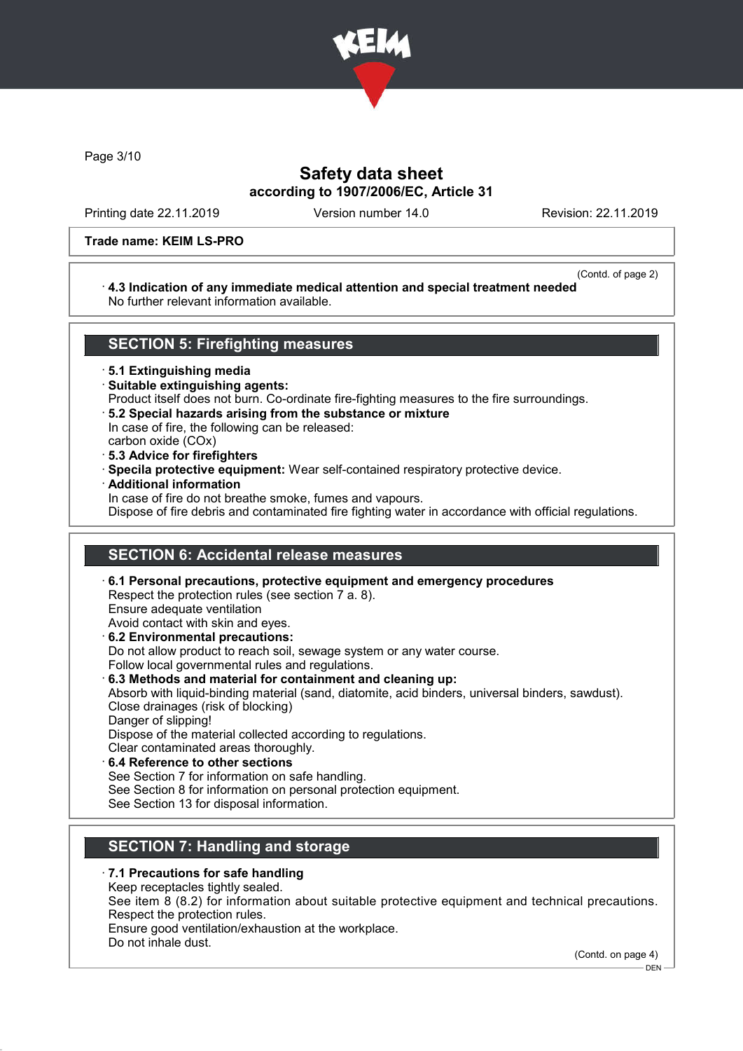

Page 3/10

## Safety data sheet according to 1907/2006/EC, Article 31

Printing date 22.11.2019 Version number 14.0 Revision: 22.11.2019

### Trade name: KEIM LS-PRO

#### (Contd. of page 2)

### · 4.3 Indication of any immediate medical attention and special treatment needed No further relevant information available.

### SECTION 5: Firefighting measures

· 5.1 Extinguishing media

- · Suitable extinguishing agents:
- Product itself does not burn. Co-ordinate fire-fighting measures to the fire surroundings.
- · 5.2 Special hazards arising from the substance or mixture

In case of fire, the following can be released:

- carbon oxide (COx)
- · 5.3 Advice for firefighters
- · Specila protective equipment: Wear self-contained respiratory protective device.
- · Additional information
	- In case of fire do not breathe smoke, fumes and vapours.

Dispose of fire debris and contaminated fire fighting water in accordance with official regulations.

### SECTION 6: Accidental release measures

· 6.1 Personal precautions, protective equipment and emergency procedures Respect the protection rules (see section 7 a. 8). Ensure adequate ventilation Avoid contact with skin and eyes. · 6.2 Environmental precautions: Do not allow product to reach soil, sewage system or any water course. Follow local governmental rules and regulations. · 6.3 Methods and material for containment and cleaning up: Absorb with liquid-binding material (sand, diatomite, acid binders, universal binders, sawdust). Close drainages (risk of blocking) Danger of slipping! Dispose of the material collected according to regulations.

- Clear contaminated areas thoroughly.
- 6.4 Reference to other sections

See Section 7 for information on safe handling.

- See Section 8 for information on personal protection equipment.
- See Section 13 for disposal information.

## SECTION 7: Handling and storage

- · 7.1 Precautions for safe handling
- Keep receptacles tightly sealed.

See item 8 (8.2) for information about suitable protective equipment and technical precautions. Respect the protection rules.

Ensure good ventilation/exhaustion at the workplace.

Do not inhale dust.

(Contd. on page 4)

DEN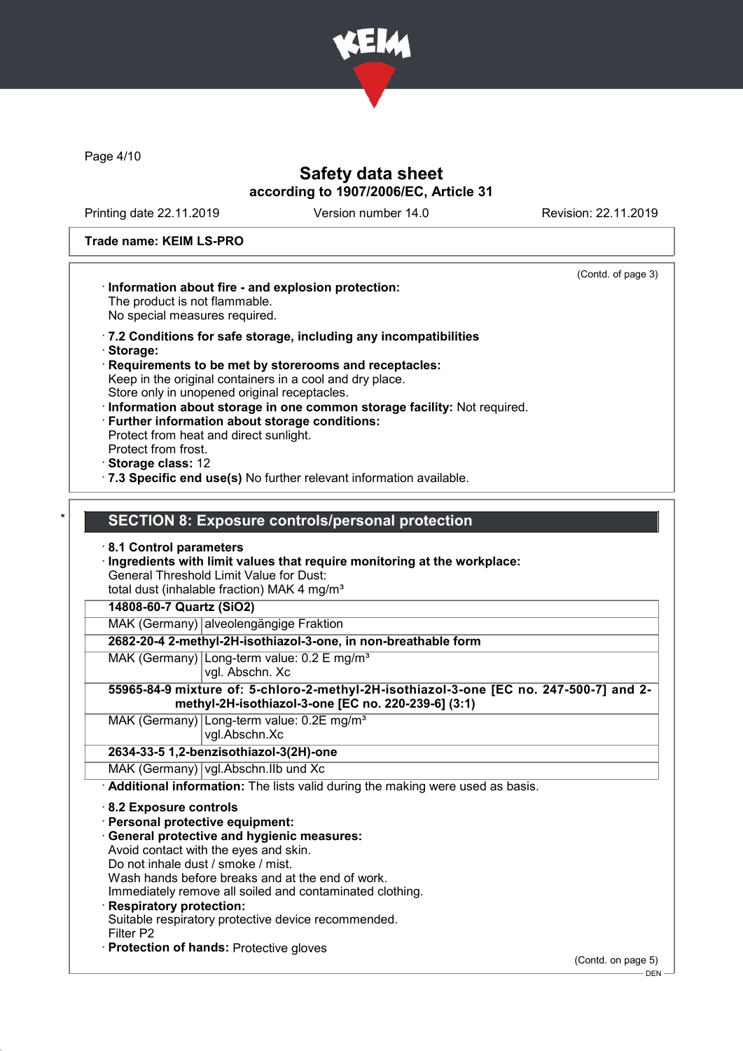

Page 4/10

# Safety data sheet according to 1907/2006/EC, Article 31

Printing date 22.11.2019 Version number 14.0 Revision: 22.11.2019

### Trade name: KEIM LS-PRO

|                                        | (Contd. of page 3)<br>Information about fire - and explosion protection:<br>The product is not flammable.<br>No special measures required.                                                                                                                                              |  |  |  |  |
|----------------------------------------|-----------------------------------------------------------------------------------------------------------------------------------------------------------------------------------------------------------------------------------------------------------------------------------------|--|--|--|--|
|                                        | .7.2 Conditions for safe storage, including any incompatibilities<br>Storage:<br>Requirements to be met by storerooms and receptacles:<br>Keep in the original containers in a cool and dry place.<br>Store only in unopened original receptacles.                                      |  |  |  |  |
|                                        | Information about storage in one common storage facility: Not required.<br>Further information about storage conditions:<br>Protect from heat and direct sunlight.<br>Protect from frost.<br>· Storage class: 12<br>.7.3 Specific end use(s) No further relevant information available. |  |  |  |  |
|                                        |                                                                                                                                                                                                                                                                                         |  |  |  |  |
|                                        |                                                                                                                                                                                                                                                                                         |  |  |  |  |
|                                        | <b>SECTION 8: Exposure controls/personal protection</b>                                                                                                                                                                                                                                 |  |  |  |  |
|                                        | 8.1 Control parameters                                                                                                                                                                                                                                                                  |  |  |  |  |
|                                        | Ingredients with limit values that require monitoring at the workplace:                                                                                                                                                                                                                 |  |  |  |  |
|                                        | <b>General Threshold Limit Value for Dust:</b>                                                                                                                                                                                                                                          |  |  |  |  |
|                                        | total dust (inhalable fraction) MAK 4 mg/m <sup>3</sup>                                                                                                                                                                                                                                 |  |  |  |  |
|                                        |                                                                                                                                                                                                                                                                                         |  |  |  |  |
|                                        | 14808-60-7 Quartz (SiO2)                                                                                                                                                                                                                                                                |  |  |  |  |
| MAK (Germany) alveolengängige Fraktion |                                                                                                                                                                                                                                                                                         |  |  |  |  |
|                                        | 2682-20-4 2-methyl-2H-isothiazol-3-one, in non-breathable form                                                                                                                                                                                                                          |  |  |  |  |
|                                        | MAK (Germany) Long-term value: 0.2 E mg/m <sup>3</sup><br>vgl. Abschn. Xc                                                                                                                                                                                                               |  |  |  |  |
|                                        | 55965-84-9 mixture of: 5-chloro-2-methyl-2H-isothiazol-3-one [EC no. 247-500-7] and 2-<br>methyl-2H-isothiazol-3-one [EC no. 220-239-6] (3:1)                                                                                                                                           |  |  |  |  |
|                                        | MAK (Germany) Long-term value: 0.2E mg/m <sup>3</sup><br>vgl.Abschn.Xc                                                                                                                                                                                                                  |  |  |  |  |
|                                        | 2634-33-5 1,2-benzisothiazol-3(2H)-one                                                                                                                                                                                                                                                  |  |  |  |  |
|                                        | MAK (Germany) vgl.Abschn.IIb und Xc                                                                                                                                                                                                                                                     |  |  |  |  |
|                                        | Additional information: The lists valid during the making were used as basis.                                                                                                                                                                                                           |  |  |  |  |
|                                        | $\cdot$ 8.2 Exposure controls                                                                                                                                                                                                                                                           |  |  |  |  |
|                                        | Personal protective equipment:                                                                                                                                                                                                                                                          |  |  |  |  |
|                                        |                                                                                                                                                                                                                                                                                         |  |  |  |  |
|                                        | · General protective and hygienic measures:<br>Avoid contact with the eyes and skin.                                                                                                                                                                                                    |  |  |  |  |
|                                        |                                                                                                                                                                                                                                                                                         |  |  |  |  |
|                                        | Do not inhale dust / smoke / mist.                                                                                                                                                                                                                                                      |  |  |  |  |
|                                        | Wash hands before breaks and at the end of work.                                                                                                                                                                                                                                        |  |  |  |  |
|                                        | Immediately remove all soiled and contaminated clothing.                                                                                                                                                                                                                                |  |  |  |  |
|                                        | <b>Respiratory protection:</b>                                                                                                                                                                                                                                                          |  |  |  |  |
|                                        | Suitable respiratory protective device recommended.<br>Filter P2                                                                                                                                                                                                                        |  |  |  |  |
|                                        | Protection of hands: Protective gloves                                                                                                                                                                                                                                                  |  |  |  |  |

(Contd. on page 5)  $\frac{1}{\sqrt{2}}$ DEN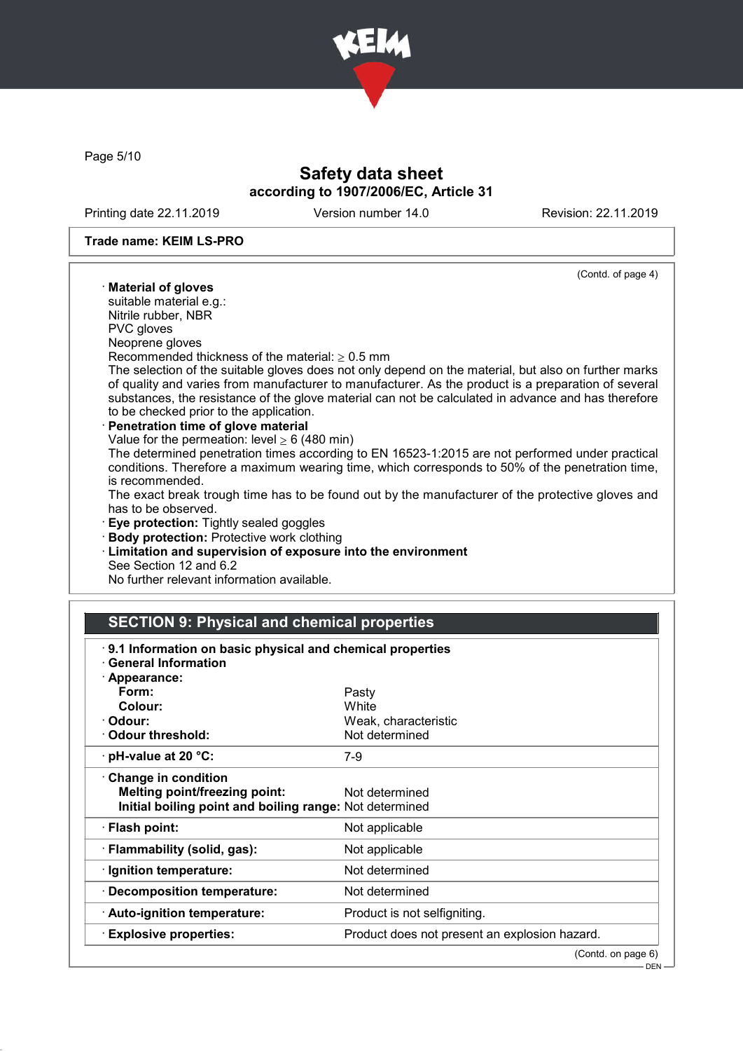

Page 5/10

## Safety data sheet according to 1907/2006/EC, Article 31

Printing date 22.11.2019 Version number 14.0 Revision: 22.11.2019

#### Trade name: KEIM LS-PRO

#### (Contd. of page 4) · Material of gloves suitable material e.g.: Nitrile rubber, NBR PVC gloves Neoprene gloves Recommended thickness of the material:  $\geq 0.5$  mm The selection of the suitable gloves does not only depend on the material, but also on further marks of quality and varies from manufacturer to manufacturer. As the product is a preparation of several substances, the resistance of the glove material can not be calculated in advance and has therefore to be checked prior to the application. Penetration time of glove material Value for the permeation: level  $\geq 6$  (480 min) The determined penetration times according to EN 16523-1:2015 are not performed under practical conditions. Therefore a maximum wearing time, which corresponds to 50% of the penetration time, is recommended. The exact break trough time has to be found out by the manufacturer of the protective gloves and has to be observed. · Eye protection: Tightly sealed goggles · Body protection: Protective work clothing · Limitation and supervision of exposure into the environment

See Section 12 and 6.2

No further relevant information available.

### SECTION 9: Physical and chemical properties

| 9.1 Information on basic physical and chemical properties<br><b>General Information</b>                                       |                                               |  |
|-------------------------------------------------------------------------------------------------------------------------------|-----------------------------------------------|--|
| · Appearance:<br>Form:<br>Colour:<br>· Odour:                                                                                 | Pasty<br>White<br>Weak, characteristic        |  |
| Odour threshold:                                                                                                              | Not determined                                |  |
| $\cdot$ pH-value at 20 °C:                                                                                                    | 7-9                                           |  |
| <b>Change in condition</b><br><b>Melting point/freezing point:</b><br>Initial boiling point and boiling range: Not determined | Not determined                                |  |
| · Flash point:                                                                                                                | Not applicable                                |  |
| · Flammability (solid, gas):                                                                                                  | Not applicable                                |  |
| $\cdot$ Ignition temperature:                                                                                                 | Not determined                                |  |
| · Decomposition temperature:                                                                                                  | Not determined                                |  |
| $\cdot$ Auto-ignition temperature:                                                                                            | Product is not selfigniting.                  |  |
| $\cdot$ Explosive properties:                                                                                                 | Product does not present an explosion hazard. |  |
|                                                                                                                               | (Contd. on page 6)                            |  |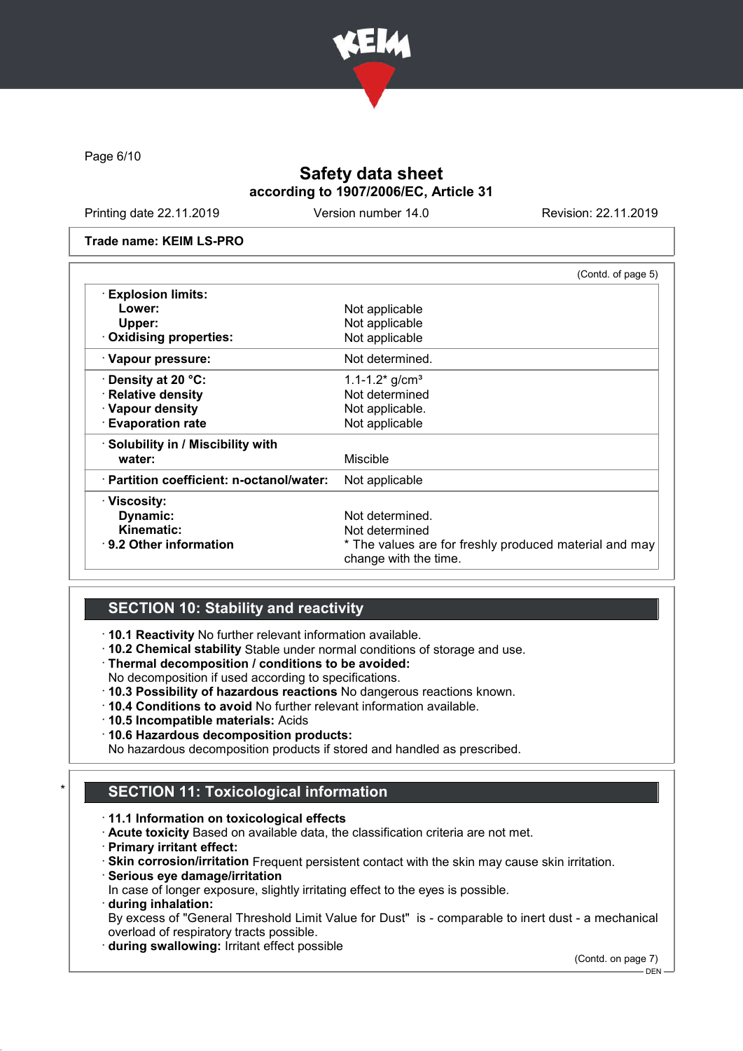

Page 6/10

## Safety data sheet according to 1907/2006/EC, Article 31

Printing date 22.11.2019 Version number 14.0 Revision: 22.11.2019

#### Trade name: KEIM LS-PRO

|                                           | (Contd. of page 5)                                                              |
|-------------------------------------------|---------------------------------------------------------------------------------|
| <b>Explosion limits:</b>                  |                                                                                 |
| Lower:                                    | Not applicable                                                                  |
| Upper:                                    | Not applicable                                                                  |
| · Oxidising properties:                   | Not applicable                                                                  |
| · Vapour pressure:                        | Not determined.                                                                 |
| Density at 20 °C:                         | 1.1-1.2 $*$ g/cm <sup>3</sup>                                                   |
| · Relative density                        | Not determined                                                                  |
| · Vapour density                          | Not applicable.                                                                 |
| <b>Evaporation rate</b>                   | Not applicable                                                                  |
| · Solubility in / Miscibility with        |                                                                                 |
| water:                                    | Miscible                                                                        |
| · Partition coefficient: n-octanol/water: | Not applicable                                                                  |
| <b>⋅Viscosity:</b>                        |                                                                                 |
| Dynamic:                                  | Not determined.                                                                 |
| Kinematic:                                | Not determined                                                                  |
| $\cdot$ 9.2 Other information             | * The values are for freshly produced material and may<br>change with the time. |

# SECTION 10: Stability and reactivity

· 10.1 Reactivity No further relevant information available.

- · 10.2 Chemical stability Stable under normal conditions of storage and use.
- · Thermal decomposition / conditions to be avoided:
- No decomposition if used according to specifications.
- · 10.3 Possibility of hazardous reactions No dangerous reactions known.
- · 10.4 Conditions to avoid No further relevant information available.
- · 10.5 Incompatible materials: Acids
- · 10.6 Hazardous decomposition products:

No hazardous decomposition products if stored and handled as prescribed.

## **SECTION 11: Toxicological information**

#### · 11.1 Information on toxicological effects

- · Acute toxicity Based on available data, the classification criteria are not met.
- · Primary irritant effect:

· Skin corrosion/irritation Frequent persistent contact with the skin may cause skin irritation.

· Serious eye damage/irritation

In case of longer exposure, slightly irritating effect to the eyes is possible.

· during inhalation:

By excess of "General Threshold Limit Value for Dust" is - comparable to inert dust - a mechanical overload of respiratory tracts possible.

· during swallowing: Irritant effect possible

(Contd. on page 7)

DEN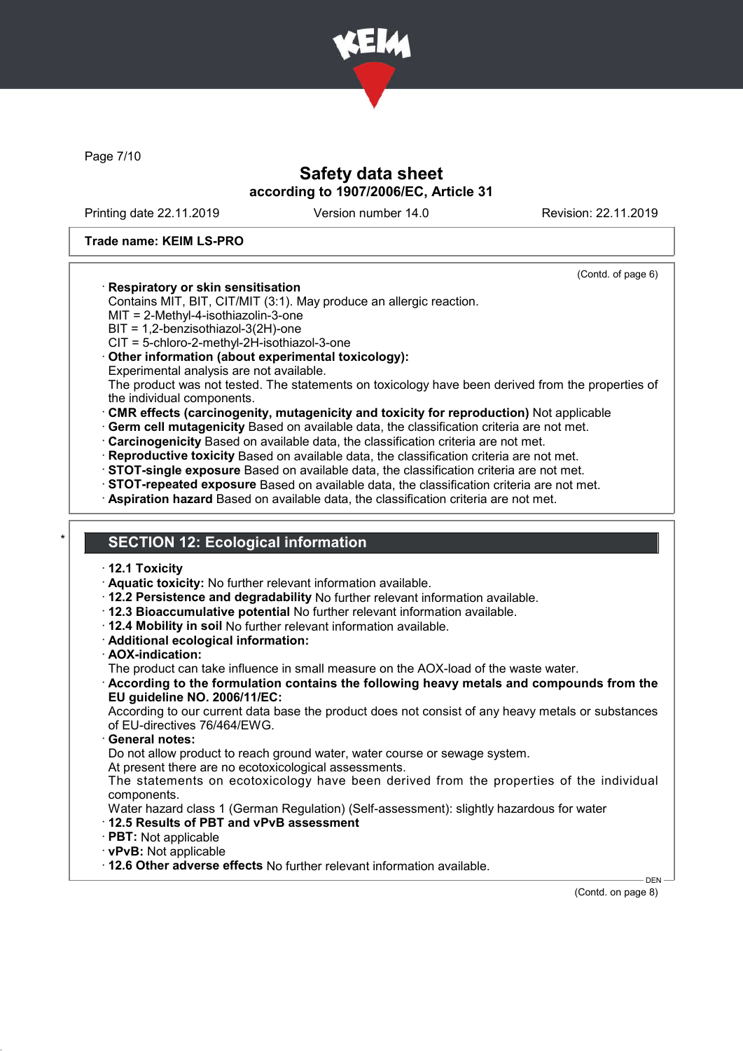

Page 7/10

## Safety data sheet according to 1907/2006/EC, Article 31

Printing date 22.11.2019 Version number 14.0 Revision: 22.11.2019

(Contd. of page 6)

### Trade name: KEIM LS-PRO

### · Respiratory or skin sensitisation

Contains MIT, BIT, CIT/MIT (3:1). May produce an allergic reaction.

MIT = 2-Methyl-4-isothiazolin-3-one

BIT = 1,2-benzisothiazol-3(2H)-one

CIT = 5-chloro-2-methyl-2H-isothiazol-3-one

#### · Other information (about experimental toxicology):

Experimental analysis are not available.

The product was not tested. The statements on toxicology have been derived from the properties of the individual components.

- · CMR effects (carcinogenity, mutagenicity and toxicity for reproduction) Not applicable
- · Germ cell mutagenicity Based on available data, the classification criteria are not met.
- · Carcinogenicity Based on available data, the classification criteria are not met.
- · Reproductive toxicity Based on available data, the classification criteria are not met.
- · STOT-single exposure Based on available data, the classification criteria are not met.
- · STOT-repeated exposure Based on available data, the classification criteria are not met.
- · Aspiration hazard Based on available data, the classification criteria are not met.

### **SECTION 12: Ecological information**

- · 12.1 Toxicity
- · Aquatic toxicity: No further relevant information available.
- · 12.2 Persistence and degradability No further relevant information available.
- · 12.3 Bioaccumulative potential No further relevant information available.
- · 12.4 Mobility in soil No further relevant information available.
- · Additional ecological information:
- · AOX-indication:

The product can take influence in small measure on the AOX-load of the waste water.

· According to the formulation contains the following heavy metals and compounds from the EU guideline NO. 2006/11/EC:

According to our current data base the product does not consist of any heavy metals or substances of EU-directives 76/464/EWG.

General notes:

Do not allow product to reach ground water, water course or sewage system.

At present there are no ecotoxicological assessments.

The statements on ecotoxicology have been derived from the properties of the individual components.

Water hazard class 1 (German Regulation) (Self-assessment): slightly hazardous for water

#### · 12.5 Results of PBT and vPvB assessment

- · PBT: Not applicable
- · vPvB: Not applicable
- · 12.6 Other adverse effects No further relevant information available.

(Contd. on page 8)

DEN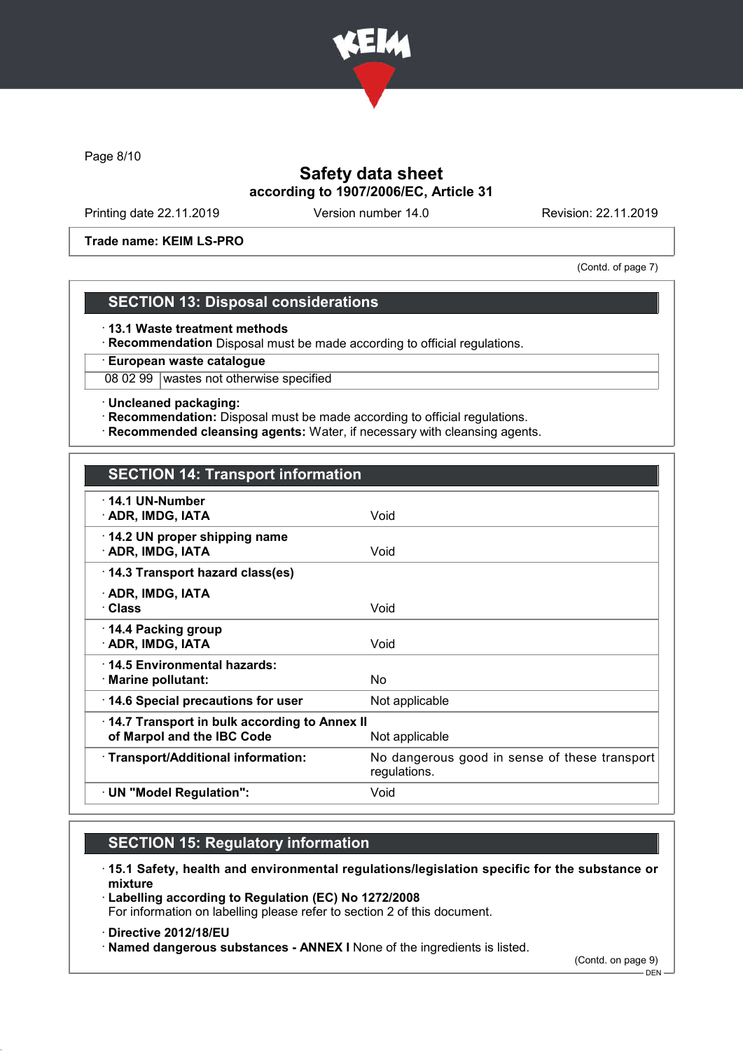

Page 8/10

## Safety data sheet according to 1907/2006/EC, Article 31

Printing date 22.11.2019 Version number 14.0 Revision: 22.11.2019

Trade name: KEIM LS-PRO

(Contd. of page 7)

## SECTION 13: Disposal considerations

· 13.1 Waste treatment methods

· Recommendation Disposal must be made according to official regulations.

· European waste catalogue

08 02 99 wastes not otherwise specified

· Uncleaned packaging:

· Recommendation: Disposal must be made according to official regulations.

· Recommended cleansing agents: Water, if necessary with cleansing agents.

## SECTION 14: Transport information

| $\cdot$ 14.1 UN-Number<br>· ADR, IMDG, IATA                                                  | Void                                                          |  |
|----------------------------------------------------------------------------------------------|---------------------------------------------------------------|--|
| 14.2 UN proper shipping name<br>· ADR, IMDG, IATA                                            | Void                                                          |  |
| 14.3 Transport hazard class(es)                                                              |                                                               |  |
| · ADR, IMDG, IATA<br>· Class                                                                 | Void                                                          |  |
| ⋅ 14.4 Packing group<br>· ADR, IMDG, IATA                                                    | Void                                                          |  |
| ⋅14.5 Environmental hazards:<br>$\cdot$ Marine pollutant:                                    | No.                                                           |  |
| 14.6 Special precautions for user                                                            | Not applicable                                                |  |
| 14.7 Transport in bulk according to Annex II<br>of Marpol and the IBC Code<br>Not applicable |                                                               |  |
| · Transport/Additional information:                                                          | No dangerous good in sense of these transport<br>regulations. |  |
| · UN "Model Regulation":                                                                     | Void                                                          |  |
|                                                                                              |                                                               |  |

# SECTION 15: Regulatory information

- · 15.1 Safety, health and environmental regulations/legislation specific for the substance or mixture
- · Labelling according to Regulation (EC) No 1272/2008 For information on labelling please refer to section 2 of this document.
- · Directive 2012/18/EU

· Named dangerous substances - ANNEX I None of the ingredients is listed.

(Contd. on page 9)

 $-$  DFN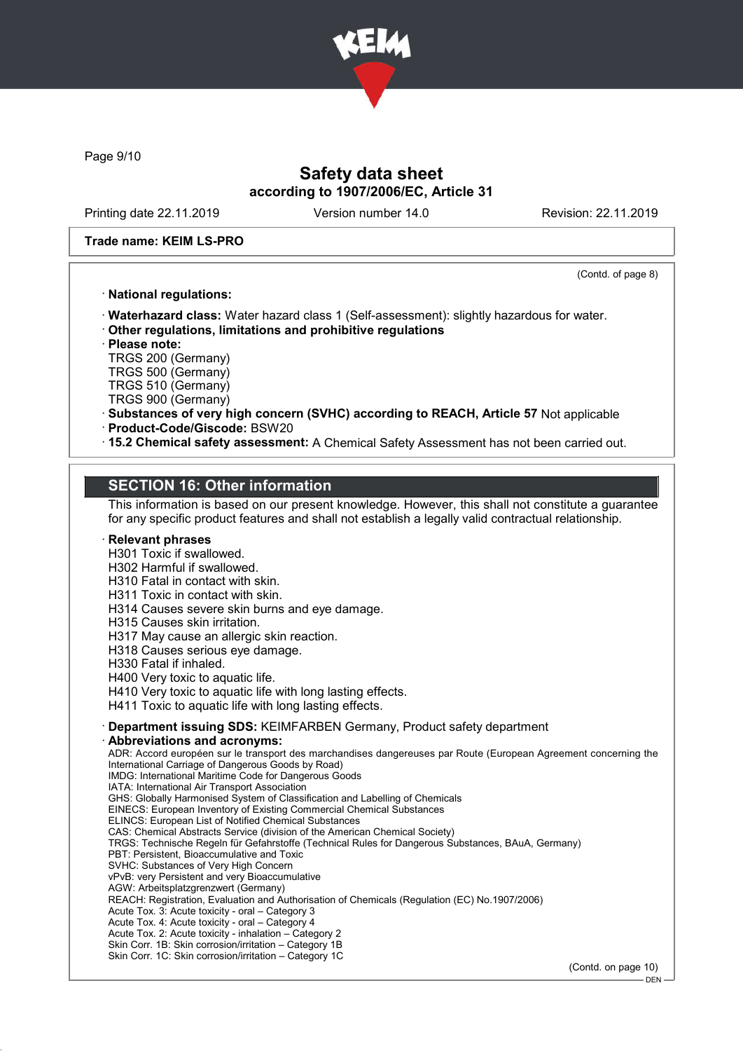

Page 9/10

## Safety data sheet according to 1907/2006/EC, Article 31

Printing date 22.11.2019 Version number 14.0 Revision: 22.11.2019

#### Trade name: KEIM LS-PRO

(Contd. of page 8)

### · National regulations:

· Waterhazard class: Water hazard class 1 (Self-assessment): slightly hazardous for water.

· Other regulations, limitations and prohibitive regulations

· Please note:

TRGS 200 (Germany) TRGS 500 (Germany)

TRGS 510 (Germany)

TRGS 900 (Germany)

- · Substances of very high concern (SVHC) according to REACH, Article 57 Not applicable · Product-Code/Giscode: BSW20
- · 15.2 Chemical safety assessment: A Chemical Safety Assessment has not been carried out.

### SECTION 16: Other information

This information is based on our present knowledge. However, this shall not constitute a guarantee for any specific product features and shall not establish a legally valid contractual relationship.

### **Relevant phrases**

H301 Toxic if swallowed.

H302 Harmful if swallowed.

H310 Fatal in contact with skin.

H311 Toxic in contact with skin.

H314 Causes severe skin burns and eye damage.

H315 Causes skin irritation.

H317 May cause an allergic skin reaction.

H318 Causes serious eye damage.

H330 Fatal if inhaled.

H400 Very toxic to aquatic life.

H410 Very toxic to aquatic life with long lasting effects.

H411 Toxic to aquatic life with long lasting effects.

#### · Department issuing SDS: KEIMFARBEN Germany, Product safety department

Abbreviations and acronyms:

ADR: Accord européen sur le transport des marchandises dangereuses par Route (European Agreement concerning the International Carriage of Dangerous Goods by Road) IMDG: International Maritime Code for Dangerous Goods IATA: International Air Transport Association GHS: Globally Harmonised System of Classification and Labelling of Chemicals EINECS: European Inventory of Existing Commercial Chemical Substances ELINCS: European List of Notified Chemical Substances CAS: Chemical Abstracts Service (division of the American Chemical Society) TRGS: Technische Regeln für Gefahrstoffe (Technical Rules for Dangerous Substances, BAuA, Germany) PBT: Persistent, Bioaccumulative and Toxic SVHC: Substances of Very High Concern vPvB: very Persistent and very Bioaccumulative AGW: Arbeitsplatzgrenzwert (Germany) REACH: Registration, Evaluation and Authorisation of Chemicals (Regulation (EC) No.1907/2006) Acute Tox. 3: Acute toxicity - oral – Category 3 Acute Tox. 4: Acute toxicity - oral – Category 4

Acute Tox. 2: Acute toxicity - inhalation – Category 2

Skin Corr. 1B: Skin corrosion/irritation – Category 1B

Skin Corr. 1C: Skin corrosion/irritation – Category 1C

(Contd. on page 10)

 $-$  DEN